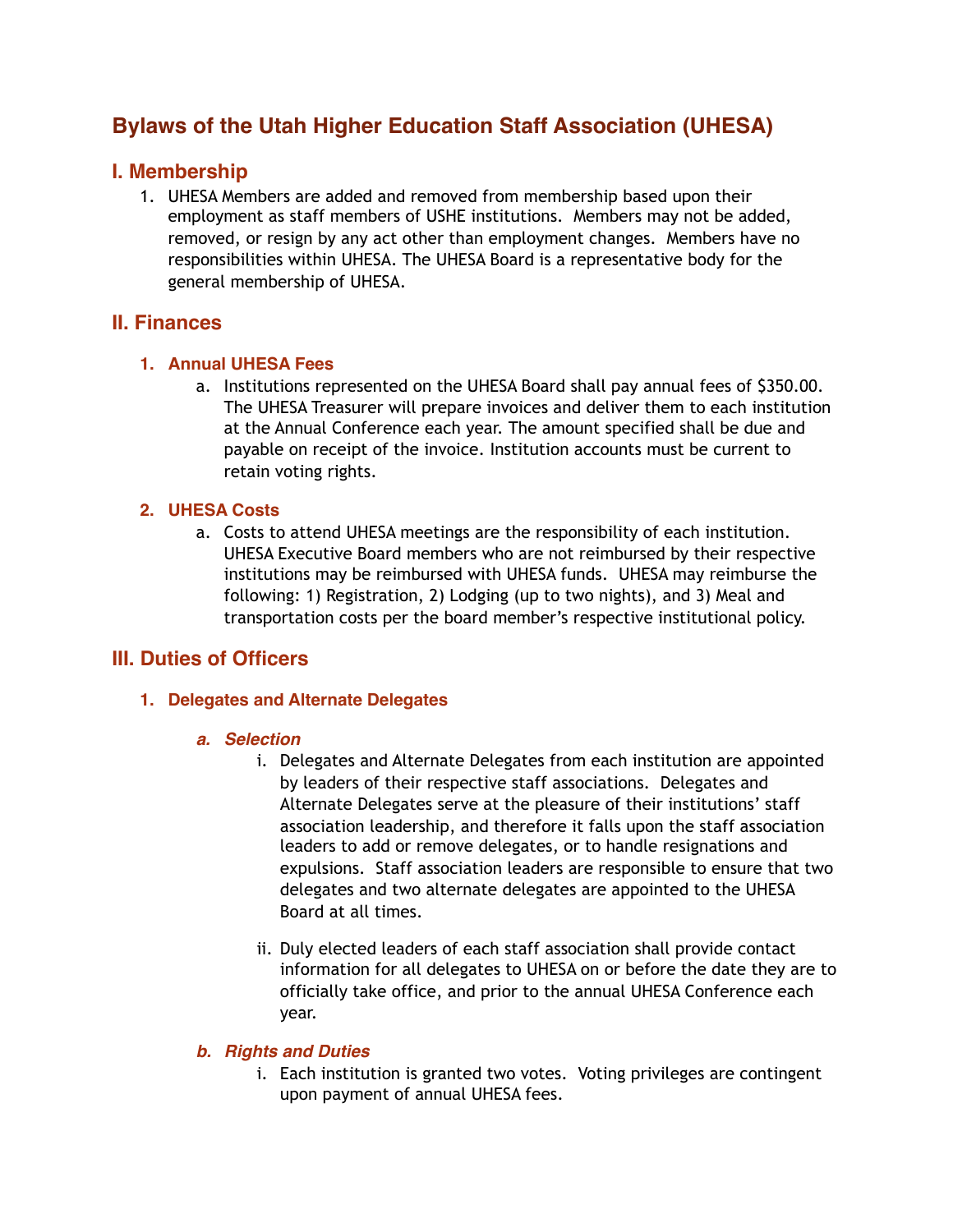# **Bylaws of the Utah Higher Education Staff Association (UHESA)**

# **I. Membership**

1. UHESA Members are added and removed from membership based upon their employment as staff members of USHE institutions. Members may not be added, removed, or resign by any act other than employment changes. Members have no responsibilities within UHESA. The UHESA Board is a representative body for the general membership of UHESA.

## **II. Finances**

### **1. Annual UHESA Fees**

a. Institutions represented on the UHESA Board shall pay annual fees of \$350.00. The UHESA Treasurer will prepare invoices and deliver them to each institution at the Annual Conference each year. The amount specified shall be due and payable on receipt of the invoice. Institution accounts must be current to retain voting rights.

### **2. UHESA Costs**

a. Costs to attend UHESA meetings are the responsibility of each institution. UHESA Executive Board members who are not reimbursed by their respective institutions may be reimbursed with UHESA funds. UHESA may reimburse the following: 1) Registration, 2) Lodging (up to two nights), and 3) Meal and transportation costs per the board member's respective institutional policy.

# **III. Duties of Officers**

### **1. Delegates and Alternate Delegates**

### *a. Selection*

- i. Delegates and Alternate Delegates from each institution are appointed by leaders of their respective staff associations. Delegates and Alternate Delegates serve at the pleasure of their institutions' staff association leadership, and therefore it falls upon the staff association leaders to add or remove delegates, or to handle resignations and expulsions. Staff association leaders are responsible to ensure that two delegates and two alternate delegates are appointed to the UHESA Board at all times.
- ii. Duly elected leaders of each staff association shall provide contact information for all delegates to UHESA on or before the date they are to officially take office, and prior to the annual UHESA Conference each year.

### *b. Rights and Duties*

i. Each institution is granted two votes. Voting privileges are contingent upon payment of annual UHESA fees.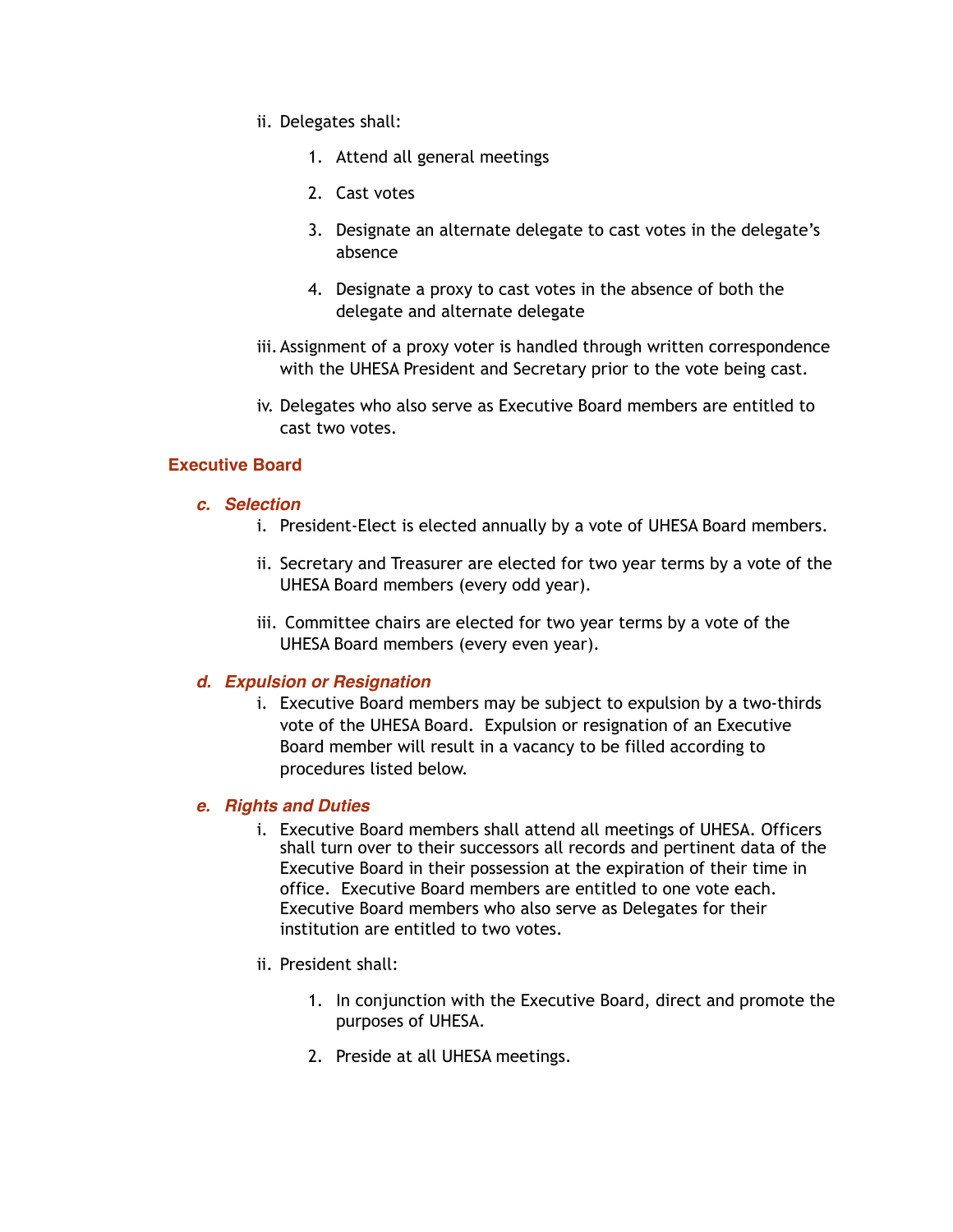- ii. Delegates shall:
	- 1. Attend all general meetings
	- 2. Cast votes
	- 3. Designate an alternate delegate to cast votes in the delegate's absence
	- 4. Designate a proxy to cast votes in the absence of both the delegate and alternate delegate
- iii.Assignment of a proxy voter is handled through written correspondence with the UHESA President and Secretary prior to the vote being cast.
- iv. Delegates who also serve as Executive Board members are entitled to cast two votes.

#### **Executive Board**

#### *c. Selection*

- i. President-Elect is elected annually by a vote of UHESA Board members.
- ii. Secretary and Treasurer are elected for two year terms by a vote of the UHESA Board members (every odd year).
- iii. Committee chairs are elected for two year terms by a vote of the UHESA Board members (every even year).

### *d. Expulsion or Resignation*

i. Executive Board members may be subject to expulsion by a two-thirds vote of the UHESA Board. Expulsion or resignation of an Executive Board member will result in a vacancy to be filled according to procedures listed below.

#### *e. Rights and Duties*

- i. Executive Board members shall attend all meetings of UHESA. Officers shall turn over to their successors all records and pertinent data of the Executive Board in their possession at the expiration of their time in office. Executive Board members are entitled to one vote each. Executive Board members who also serve as Delegates for their institution are entitled to two votes.
- ii. President shall:
	- 1. In conjunction with the Executive Board, direct and promote the purposes of UHESA.
	- 2. Preside at all UHESA meetings.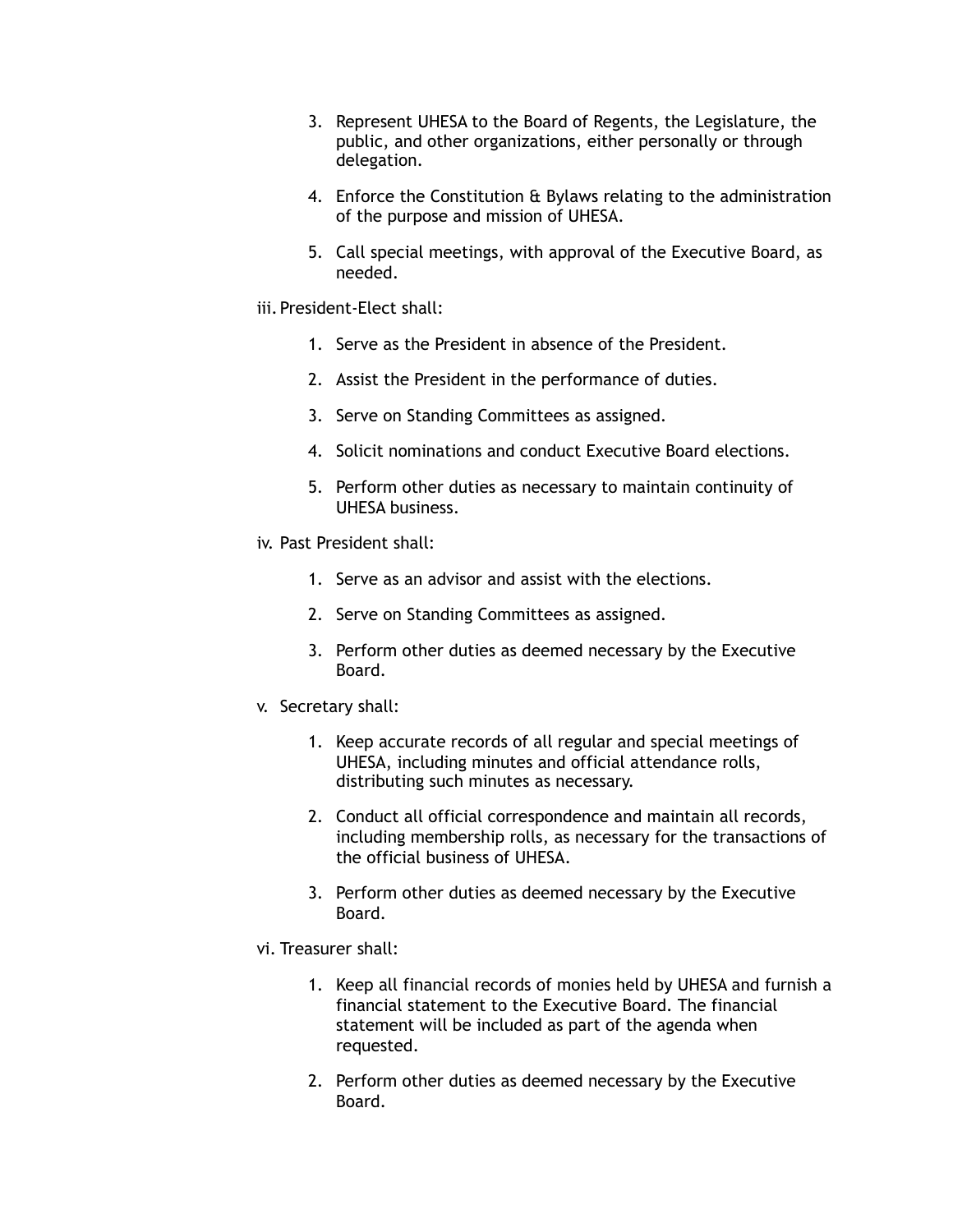- 3. Represent UHESA to the Board of Regents, the Legislature, the public, and other organizations, either personally or through delegation.
- 4. Enforce the Constitution & Bylaws relating to the administration of the purpose and mission of UHESA.
- 5. Call special meetings, with approval of the Executive Board, as needed.
- iii. President-Elect shall:
	- 1. Serve as the President in absence of the President.
	- 2. Assist the President in the performance of duties.
	- 3. Serve on Standing Committees as assigned.
	- 4. Solicit nominations and conduct Executive Board elections.
	- 5. Perform other duties as necessary to maintain continuity of UHESA business.
- iv. Past President shall:
	- 1. Serve as an advisor and assist with the elections.
	- 2. Serve on Standing Committees as assigned.
	- 3. Perform other duties as deemed necessary by the Executive Board.
- v. Secretary shall:
	- 1. Keep accurate records of all regular and special meetings of UHESA, including minutes and official attendance rolls, distributing such minutes as necessary.
	- 2. Conduct all official correspondence and maintain all records, including membership rolls, as necessary for the transactions of the official business of UHESA.
	- 3. Perform other duties as deemed necessary by the Executive Board.
- vi. Treasurer shall:
	- 1. Keep all financial records of monies held by UHESA and furnish a financial statement to the Executive Board. The financial statement will be included as part of the agenda when requested.
	- 2. Perform other duties as deemed necessary by the Executive Board.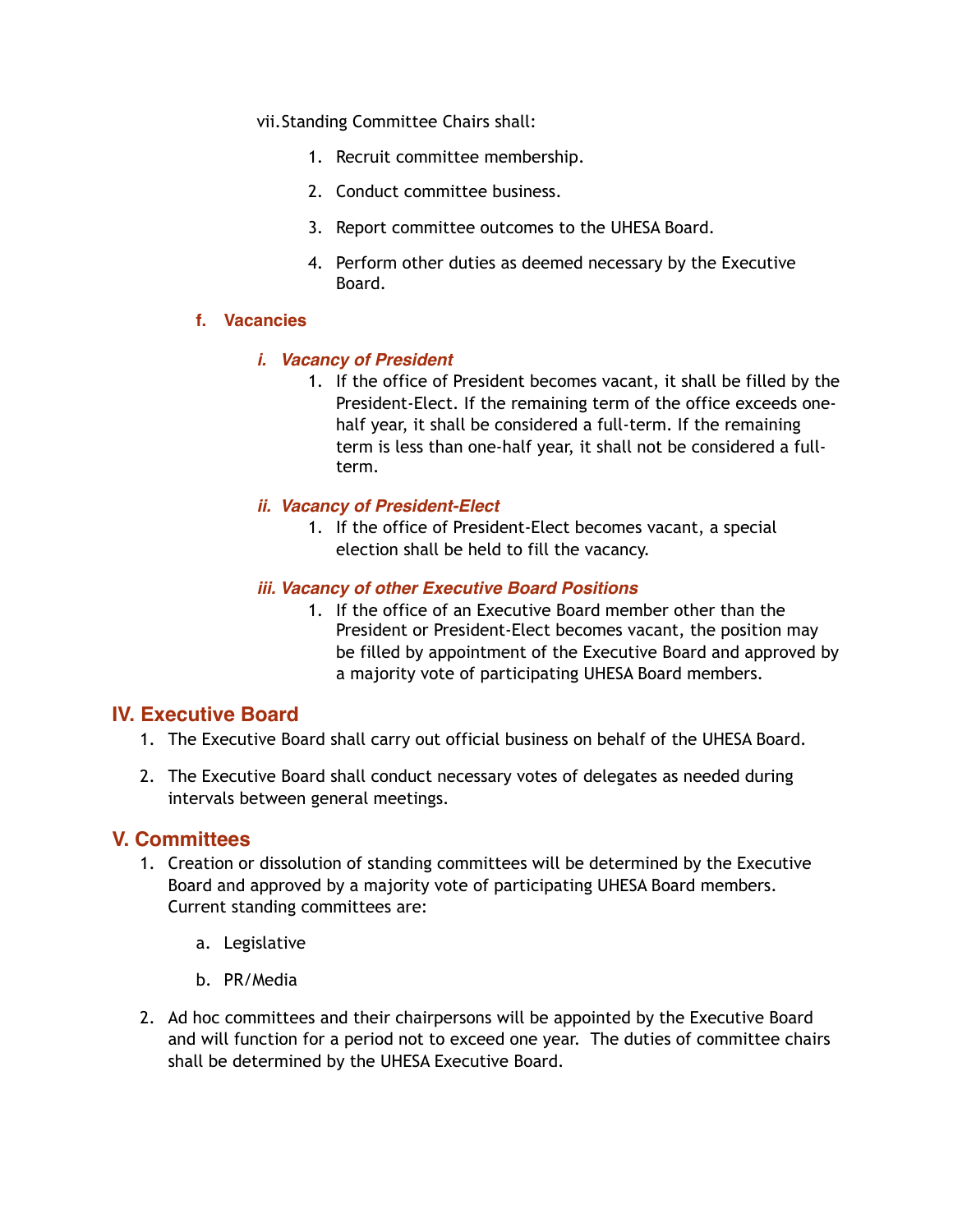vii.Standing Committee Chairs shall:

- 1. Recruit committee membership.
- 2. Conduct committee business.
- 3. Report committee outcomes to the UHESA Board.
- 4. Perform other duties as deemed necessary by the Executive Board.

#### **f. Vacancies**

### *i. Vacancy of President*

1. If the office of President becomes vacant, it shall be filled by the President-Elect. If the remaining term of the office exceeds onehalf year, it shall be considered a full-term. If the remaining term is less than one-half year, it shall not be considered a fullterm.

### *ii. Vacancy of President-Elect*

1. If the office of President-Elect becomes vacant, a special election shall be held to fill the vacancy.

#### *iii. Vacancy of other Executive Board Positions*

1. If the office of an Executive Board member other than the President or President-Elect becomes vacant, the position may be filled by appointment of the Executive Board and approved by a majority vote of participating UHESA Board members.

### **IV. Executive Board**

- 1. The Executive Board shall carry out official business on behalf of the UHESA Board.
- 2. The Executive Board shall conduct necessary votes of delegates as needed during intervals between general meetings.

### **V. Committees**

- 1. Creation or dissolution of standing committees will be determined by the Executive Board and approved by a majority vote of participating UHESA Board members. Current standing committees are:
	- a. Legislative
	- b. PR/Media
- 2. Ad hoc committees and their chairpersons will be appointed by the Executive Board and will function for a period not to exceed one year. The duties of committee chairs shall be determined by the UHESA Executive Board.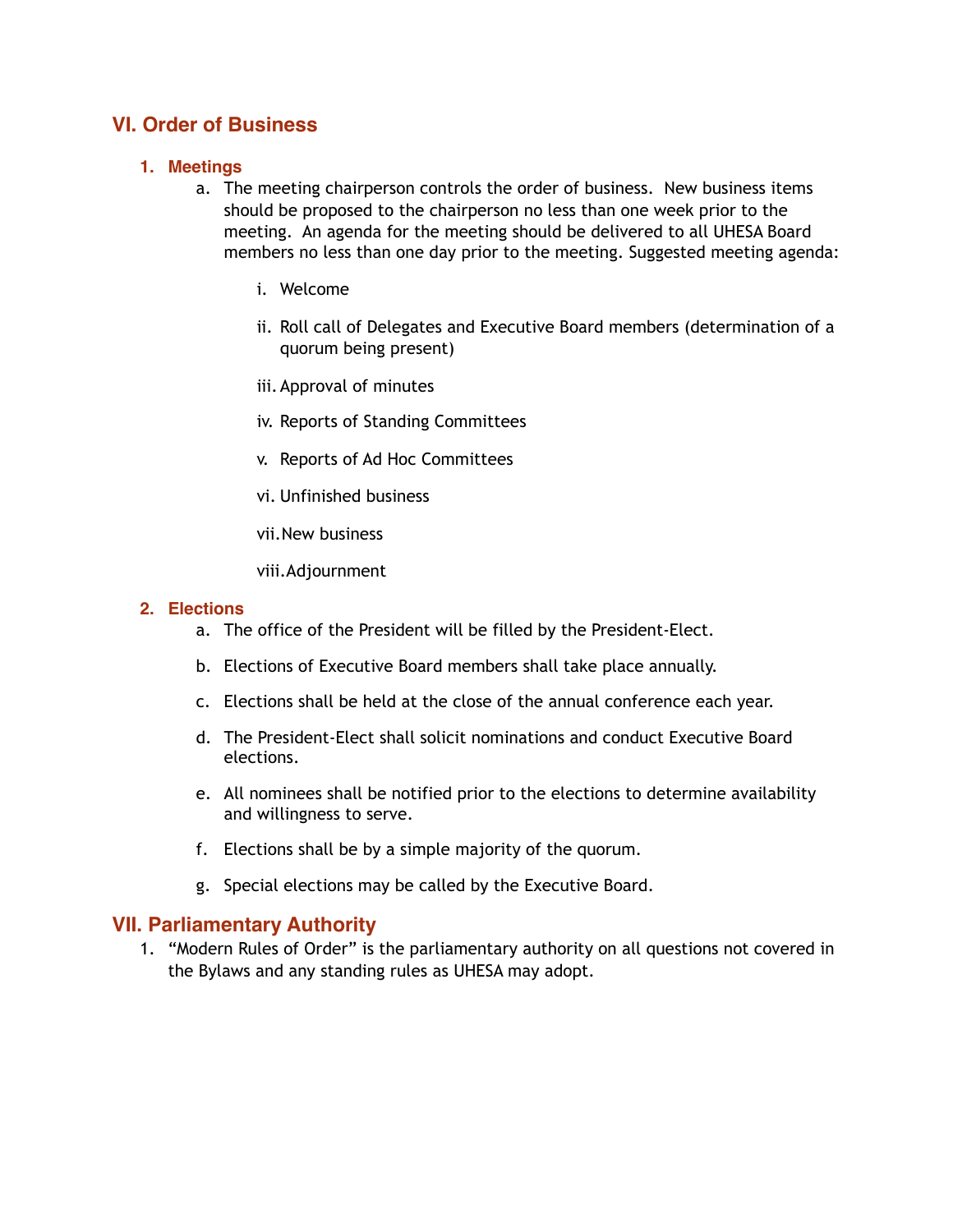# **VI. Order of Business**

### **1. Meetings**

- a. The meeting chairperson controls the order of business. New business items should be proposed to the chairperson no less than one week prior to the meeting. An agenda for the meeting should be delivered to all UHESA Board members no less than one day prior to the meeting. Suggested meeting agenda:
	- i. Welcome
	- ii. Roll call of Delegates and Executive Board members (determination of a quorum being present)
	- iii.Approval of minutes
	- iv. Reports of Standing Committees
	- v. Reports of Ad Hoc Committees
	- vi. Unfinished business
	- vii.New business
	- viii.Adjournment

#### **2. Elections**

- a. The office of the President will be filled by the President-Elect.
- b. Elections of Executive Board members shall take place annually.
- c. Elections shall be held at the close of the annual conference each year.
- d. The President-Elect shall solicit nominations and conduct Executive Board elections.
- e. All nominees shall be notified prior to the elections to determine availability and willingness to serve.
- f. Elections shall be by a simple majority of the quorum.
- g. Special elections may be called by the Executive Board.

### **VII. Parliamentary Authority**

1. "Modern Rules of Order" is the parliamentary authority on all questions not covered in the Bylaws and any standing rules as UHESA may adopt.